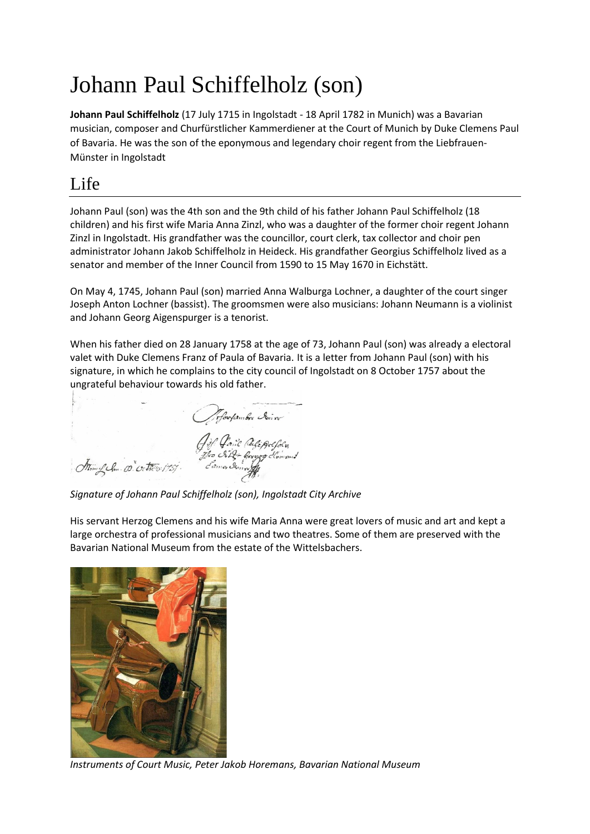# Johann Paul Schiffelholz (son)

**Johann Paul Schiffelholz** (17 July 1715 in Ingolstadt - 18 April 1782 in Munich) was a Bavarian musician, composer and Churfürstlicher Kammerdiener at the Court of Munich by Duke Clemens Paul of Bavaria. He was the son of the eponymous and legendary choir regent from the Liebfrauen-Münster in Ingolstadt

## Life

Johann Paul (son) was the 4th son and the 9th child of his father Johann Paul Schiffelholz (18 children) and his first wife Maria Anna Zinzl, who was a daughter of the former choir regent Johann Zinzl in Ingolstadt. His grandfather was the councillor, court clerk, tax collector and choir pen administrator Johann Jakob Schiffelholz in Heideck. His grandfather Georgius Schiffelholz lived as a senator and member of the Inner Council from 1590 to 15 May 1670 in Eichstätt.

On May 4, 1745, Johann Paul (son) married Anna Walburga Lochner, a daughter of the court singer Joseph Anton Lochner (bassist). The groomsmen were also musicians: Johann Neumann is a violinist and Johann Georg Aigenspurger is a tenorist.

When his father died on 28 January 1758 at the age of 73, Johann Paul (son) was already a electoral valet with Duke Clemens Franz of Paula of Bavaria. It is a letter from Johann Paul (son) with his signature, in which he complains to the city council of Ingolstadt on 8 October 1757 about the ungrateful behaviour towards his old father.

*Signature of Johann Paul Schiffeling Soning*<br>*Jim Lem. 0. 0. 1560* 1757<br>Sianature of Johann Paul Schiffelholz (son), Inaolstadt City Archive

His servant Herzog Clemens and his wife Maria Anna were great lovers of music and art and kept a large orchestra of professional musicians and two theatres. Some of them are preserved with the Bavarian National Museum from the estate of the Wittelsbachers.



*Instruments of Court Music, Peter Jakob Horemans, Bavarian National Museum*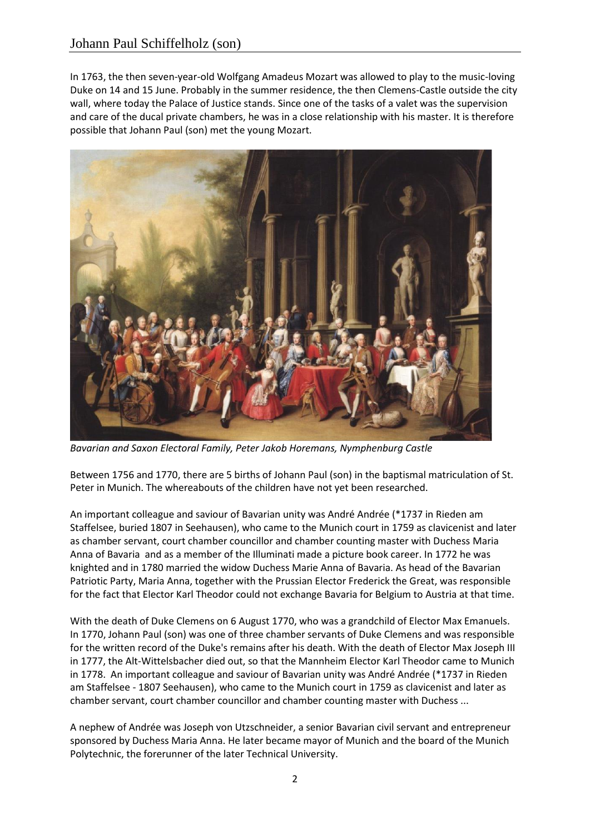In 1763, the then seven-year-old Wolfgang Amadeus Mozart was allowed to play to the music-loving Duke on 14 and 15 June. Probably in the summer residence, the then Clemens-Castle outside the city wall, where today the Palace of Justice stands. Since one of the tasks of a valet was the supervision and care of the ducal private chambers, he was in a close relationship with his master. It is therefore possible that Johann Paul (son) met the young Mozart.



*Bavarian and Saxon Electoral Family, Peter Jakob Horemans, Nymphenburg Castle*

Between 1756 and 1770, there are 5 births of Johann Paul (son) in the baptismal matriculation of St. Peter in Munich. The whereabouts of the children have not yet been researched.

An important colleague and saviour of Bavarian unity was André Andrée (\*1737 in Rieden am Staffelsee, buried 1807 in Seehausen), who came to the Munich court in 1759 as clavicenist and later as chamber servant, court chamber councillor and chamber counting master with Duchess Maria Anna of Bavaria and as a member of the Illuminati made a picture book career. In 1772 he was knighted and in 1780 married the widow Duchess Marie Anna of Bavaria. As head of the Bavarian Patriotic Party, Maria Anna, together with the Prussian Elector Frederick the Great, was responsible for the fact that Elector Karl Theodor could not exchange Bavaria for Belgium to Austria at that time.

With the death of Duke Clemens on 6 August 1770, who was a grandchild of Elector Max Emanuels. In 1770, Johann Paul (son) was one of three chamber servants of Duke Clemens and was responsible for the written record of the Duke's remains after his death. With the death of Elector Max Joseph III in 1777, the Alt-Wittelsbacher died out, so that the Mannheim Elector Karl Theodor came to Munich in 1778. An important colleague and saviour of Bavarian unity was André Andrée (\*1737 in Rieden am Staffelsee - 1807 Seehausen), who came to the Munich court in 1759 as clavicenist and later as chamber servant, court chamber councillor and chamber counting master with Duchess ...

A nephew of Andrée was Joseph von Utzschneider, a senior Bavarian civil servant and entrepreneur sponsored by Duchess Maria Anna. He later became mayor of Munich and the board of the Munich Polytechnic, the forerunner of the later Technical University.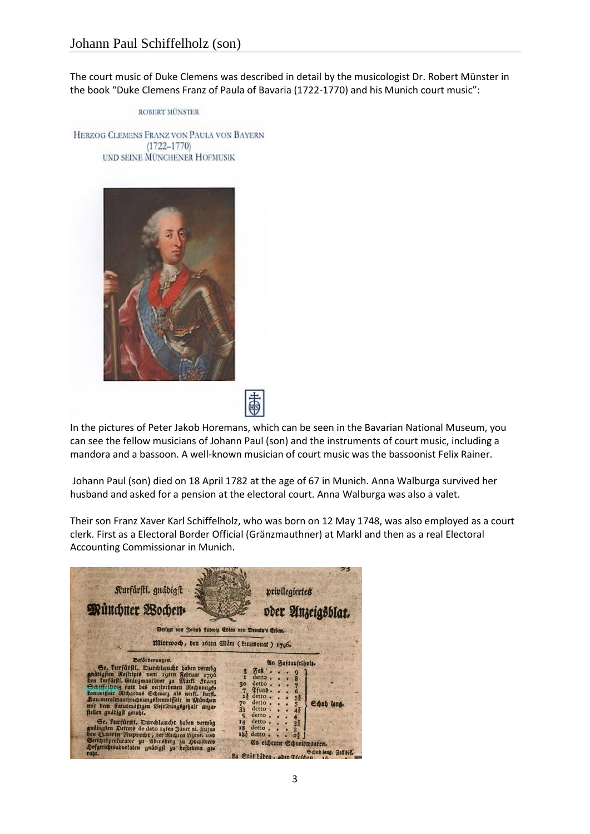The court music of Duke Clemens was described in detail by the musicologist Dr. Robert Münster in the book "Duke Clemens Franz of Paula of Bavaria (1722-1770) and his Munich court music":

#### ROBERT MÜNSTER

HERZOG CLEMENS FRANZ VON PAULA VON BAYERN  $(1722 - 1770)$ UND SEINE MÜNCHENER HOFMUSIK



In the pictures of Peter Jakob Horemans, which can be seen in the Bavarian National Museum, you can see the fellow musicians of Johann Paul (son) and the instruments of court music, including a mandora and a bassoon. A well-known musician of court music was the bassoonist Felix Rainer.

青

Johann Paul (son) died on 18 April 1782 at the age of 67 in Munich. Anna Walburga survived her husband and asked for a pension at the electoral court. Anna Walburga was also a valet.

Their son Franz Xaver Karl Schiffelholz, who was born on 12 May 1748, was also employed as a court clerk. First as a Electoral Border Official (Gränzmauthner) at Markl and then as a real Electoral Accounting Commissionar in Munich.

| Kurfürstl. gnadigst                                                                                                                                                                                                                                                                                                                                                                                                                                                                                                                                                                                                                              | privilegiertes                                                                                                                                                                                                                                                                                                                                     |
|--------------------------------------------------------------------------------------------------------------------------------------------------------------------------------------------------------------------------------------------------------------------------------------------------------------------------------------------------------------------------------------------------------------------------------------------------------------------------------------------------------------------------------------------------------------------------------------------------------------------------------------------------|----------------------------------------------------------------------------------------------------------------------------------------------------------------------------------------------------------------------------------------------------------------------------------------------------------------------------------------------------|
| Münchner Wochen-                                                                                                                                                                                                                                                                                                                                                                                                                                                                                                                                                                                                                                 | oder Anzeigsblat.                                                                                                                                                                                                                                                                                                                                  |
| Berlegt von Joseph Ludwig Edlen von Dronin's Erben.                                                                                                                                                                                                                                                                                                                                                                                                                                                                                                                                                                                              |                                                                                                                                                                                                                                                                                                                                                    |
| Mittwoch, ben 16ten Mars (Lengmonat) 1796.                                                                                                                                                                                                                                                                                                                                                                                                                                                                                                                                                                                                       |                                                                                                                                                                                                                                                                                                                                                    |
| Beforderungen.<br>Se. furfurftl. Durchlaucht haben vermog<br>anabigsten Reffripts vom 19ten Februar 1796<br>Den turfürftl. Granzmauthner zu Markl grans<br>Schiffelhols ftatt des verstorbenen Rechnnuges<br>tommiffair Richardus Schwarz als wirfl. furfl.<br>Rammeralmauthrechnungstommiffair in Munchen<br>mit dem statusmäßigen Besoldungsgehalt anzur<br>ftellen gnabigft geruhr.<br>Sc. furfurftl. Durchlaucht haben vermog<br>gudbigsten Detrets de dato raten Janer ai. hujus<br>ben Quirin Nuprecht, der Rediten Lizene. und<br>Gerichteproturator zu Abensberg zu howstoers<br>hofgerichtsadvokaten gnadigft zu befordern ges<br>rubt. | On Fastaufeihola.<br>Sag '<br>detto<br>30 detto<br>Pfund<br>24 detto<br>$5\frac{1}{2}$<br>detto.<br>Shuh lang.<br>70<br>$\mathbf{s}$<br>detto<br>33<br>$4\frac{1}{2}$<br>detto.<br>$\mathbf Q$<br>detto.<br>14<br>$3\frac{1}{2}$<br>detto.<br>18<br>185 detto.<br>An eichenen Schneidwaaren.<br>Schublang, Rollbie<br>84 Stut Laben, aber Megfchen |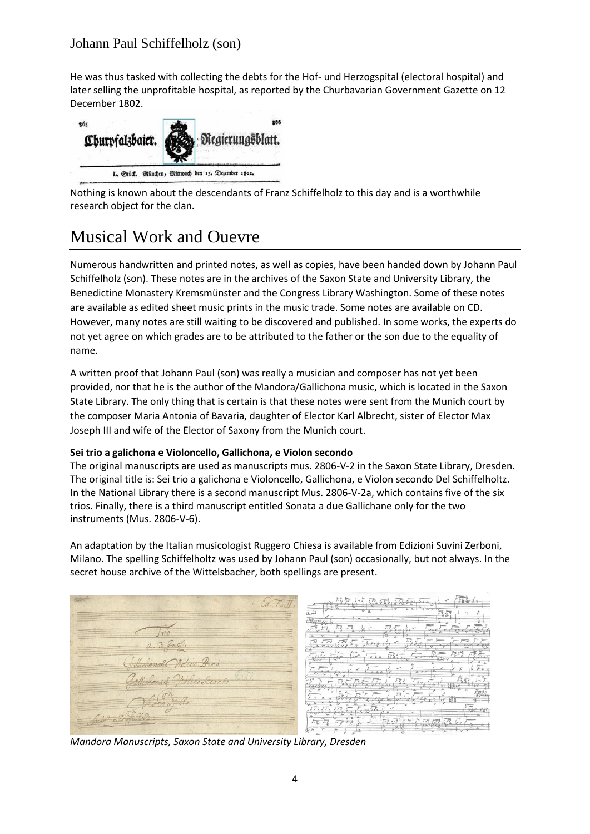He was thus tasked with collecting the debts for the Hof- und Herzogspital (electoral hospital) and later selling the unprofitable hospital, as reported by the Churbavarian Government Gazette on 12 December 1802.



Nothing is known about the descendants of Franz Schiffelholz to this day and is a worthwhile research object for the clan.

## Musical Work and Ouevre

Numerous handwritten and printed notes, as well as copies, have been handed down by Johann Paul Schiffelholz (son). These notes are in the archives of the Saxon State and University Library, the Benedictine Monastery Kremsmünster and the Congress Library Washington. Some of these notes are available as edited sheet music prints in the music trade. Some notes are available on CD. However, many notes are still waiting to be discovered and published. In some works, the experts do not yet agree on which grades are to be attributed to the father or the son due to the equality of name.

A written proof that Johann Paul (son) was really a musician and composer has not yet been provided, nor that he is the author of the Mandora/Gallichona music, which is located in the Saxon State Library. The only thing that is certain is that these notes were sent from the Munich court by the composer Maria Antonia of Bavaria, daughter of Elector Karl Albrecht, sister of Elector Max Joseph III and wife of the Elector of Saxony from the Munich court.

#### **Sei trio a galichona e Violoncello, Gallichona, e Violon secondo**

The original manuscripts are used as manuscripts mus. 2806-V-2 in the Saxon State Library, Dresden. The original title is: Sei trio a galichona e Violoncello, Gallichona, e Violon secondo Del Schiffelholtz. In the National Library there is a second manuscript Mus. 2806-V-2a, which contains five of the six trios. Finally, there is a third manuscript entitled Sonata a due Gallichane only for the two instruments (Mus. 2806-V-6).

An adaptation by the Italian musicologist Ruggero Chiesa is available from Edizioni Suvini Zerboni, Milano. The spelling Schiffelholtz was used by Johann Paul (son) occasionally, but not always. In the secret house archive of the Wittelsbacher, both spellings are present.

*Mandora Manuscripts, Saxon State and University Library, Dresden*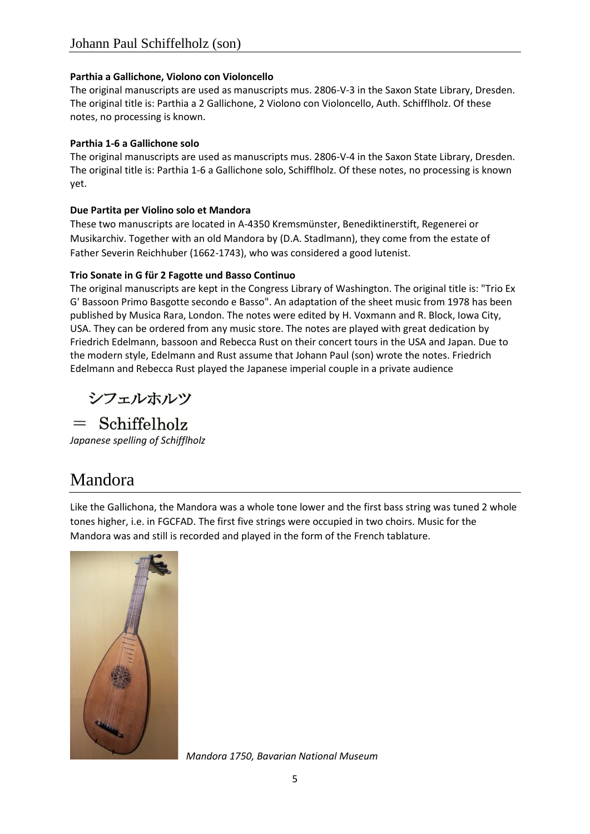### **Parthia a Gallichone, Violono con Violoncello**

The original manuscripts are used as manuscripts mus. 2806-V-3 in the Saxon State Library, Dresden. The original title is: Parthia a 2 Gallichone, 2 Violono con Violoncello, Auth. Schifflholz. Of these notes, no processing is known.

#### **Parthia 1-6 a Gallichone solo**

The original manuscripts are used as manuscripts mus. 2806-V-4 in the Saxon State Library, Dresden. The original title is: Parthia 1-6 a Gallichone solo, Schifflholz. Of these notes, no processing is known yet.

#### **Due Partita per Violino solo et Mandora**

These two manuscripts are located in A-4350 Kremsmünster, Benediktinerstift, Regenerei or Musikarchiv. Together with an old Mandora by (D.A. Stadlmann), they come from the estate of Father Severin Reichhuber (1662-1743), who was considered a good lutenist.

### **Trio Sonate in G für 2 Fagotte und Basso Continuo**

The original manuscripts are kept in the Congress Library of Washington. The original title is: "Trio Ex G' Bassoon Primo Basgotte secondo e Basso". An adaptation of the sheet music from 1978 has been published by Musica Rara, London. The notes were edited by H. Voxmann and R. Block, Iowa City, USA. They can be ordered from any music store. The notes are played with great dedication by Friedrich Edelmann, bassoon and Rebecca Rust on their concert tours in the USA and Japan. Due to the modern style, Edelmann and Rust assume that Johann Paul (son) wrote the notes. Friedrich Edelmann and Rebecca Rust played the Japanese imperial couple in a private audience

シフェルホルツ

 $=$  Schiffelholz *Japanese spelling of Schifflholz*

### Mandora

Like the Gallichona, the Mandora was a whole tone lower and the first bass string was tuned 2 whole tones higher, i.e. in FGCFAD. The first five strings were occupied in two choirs. Music for the Mandora was and still is recorded and played in the form of the French tablature.



*Mandora 1750, Bavarian National Museum*